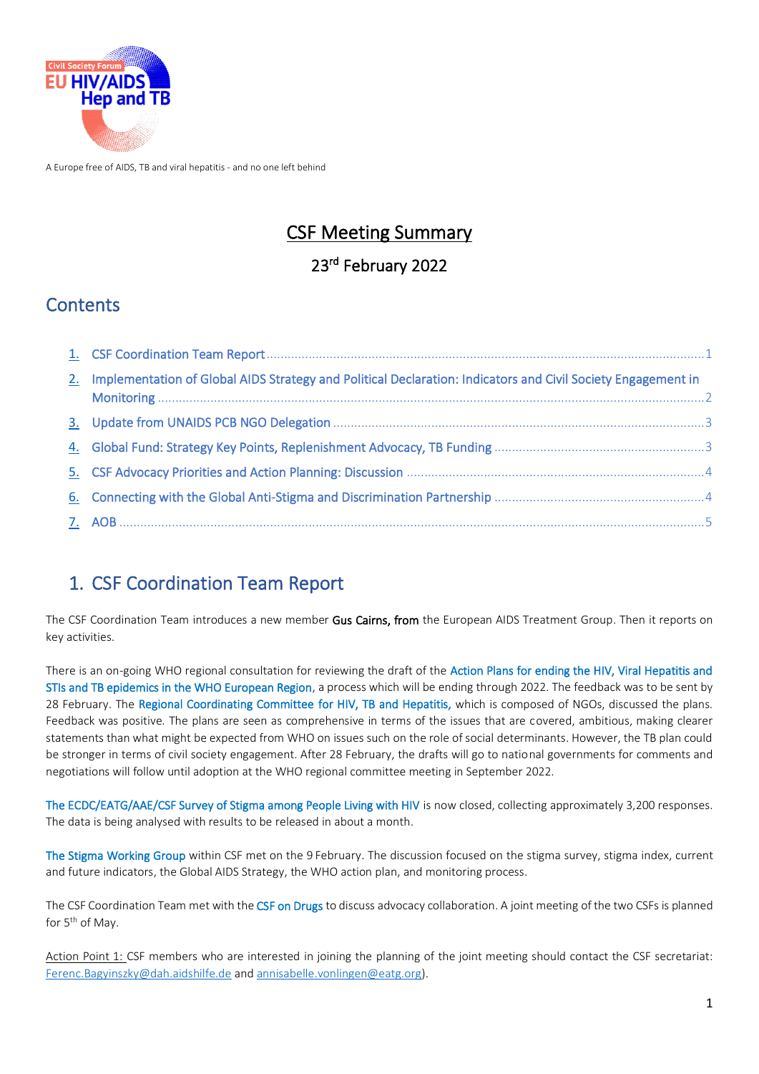

A Europe free of AIDS, TB and viral hepatitis - and no one left behind

# CSF Meeting Summary

### 23rd February 2022

### **Contents**

| 2. Implementation of Global AIDS Strategy and Political Declaration: Indicators and Civil Society Engagement in |  |
|-----------------------------------------------------------------------------------------------------------------|--|
|                                                                                                                 |  |
|                                                                                                                 |  |
|                                                                                                                 |  |
|                                                                                                                 |  |
|                                                                                                                 |  |

# <span id="page-0-0"></span>1. CSF Coordination Team Report

The CSF Coordination Team introduces a new member Gus Cairns, from the European AIDS Treatment Group. Then it reports on key activities.

There is an on-going WHO regional consultation for reviewing the draft of the Action Plans for ending the HIV, Viral Hepatitis and STIs and TB epidemics in the WHO European Region, a process which will be ending through 2022. The feedback was to be sent by 28 February. The Regional Coordinating Committee for HIV, TB and Hepatitis, which is composed of NGOs, discussed the plans. Feedback was positive. The plans are seen as comprehensive in terms of the issues that are covered, ambitious, making clearer statements than what might be expected from WHO on issues such on the role of social determinants. However, the TB plan could be stronger in terms of civil society engagement. After 28 February, the drafts will go to national governments for comments and negotiations will follow until adoption at the WHO regional committee meeting in September 2022.

The ECDC/EATG/AAE/CSF Survey of Stigma among People Living with HIV is now closed, collecting approximately 3,200 responses. The data is being analysed with results to be released in about a month.

The Stigma Working Group within CSF met on the 9 February. The discussion focused on the stigma survey, stigma index, current and future indicators, the Global AIDS Strategy, the WHO action plan, and monitoring process.

The CSF Coordination Team met with the CSF on Drugs to discuss advocacy collaboration. A joint meeting of the two CSFs is planned for 5<sup>th</sup> of May.

<span id="page-0-1"></span>Action Point 1: CSF members who are interested in joining the planning of the joint meeting should contact the CSF secretariat: [Ferenc.Bagyinszky@dah.aidshilfe.de](mailto:Ferenc.Bagyinszky@dah.aidshilfe.de) an[d annisabelle.vonlingen@eatg.org\)](mailto:annisabelle.vonlingen@eatg.org).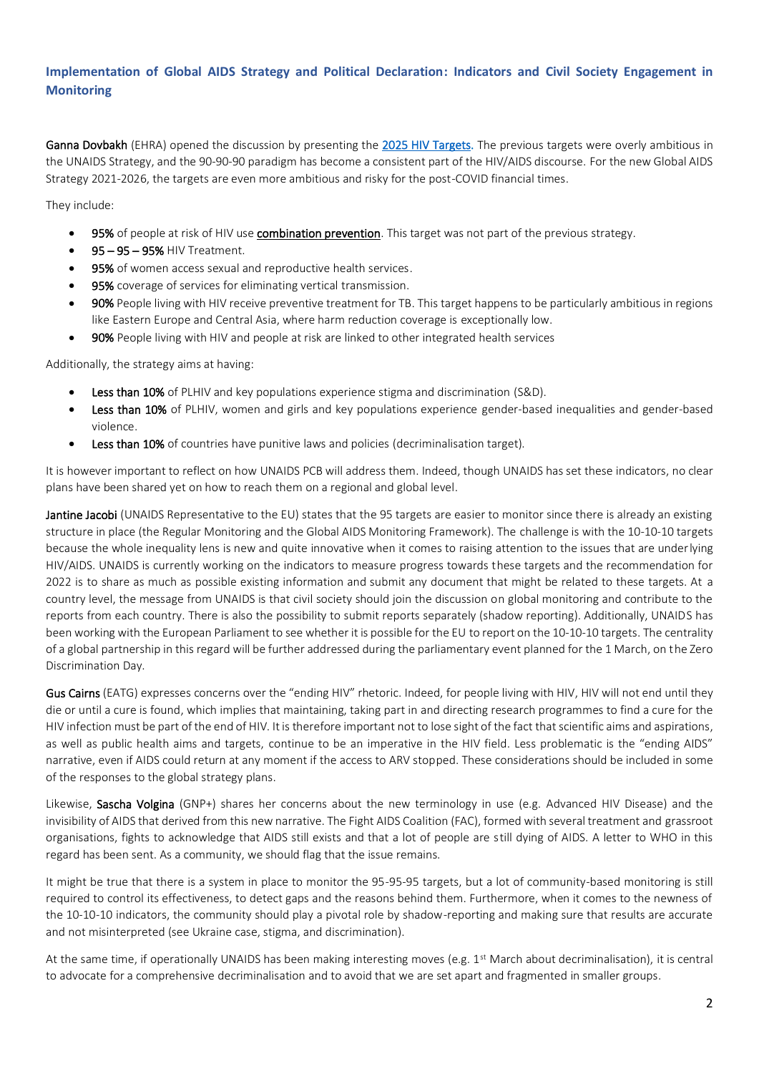#### **Implementation of Global AIDS Strategy and Political Declaration: Indicators and Civil Society Engagement in Monitoring**

Ganna Dovbakh (EHRA) opened the discussion by presenting th[e 2025 HIV Targets.](https://www.unaids.org/sites/default/files/media_asset/global-AIDS-strategy-2021-2026-summary_en.pdf) The previous targets were overly ambitious in the UNAIDS Strategy, and the 90-90-90 paradigm has become a consistent part of the HIV/AIDS discourse. For the new Global AIDS Strategy 2021-2026, the targets are even more ambitious and risky for the post-COVID financial times.

They include:

- 95% of people at risk of HIV use combination prevention. This target was not part of the previous strategy.
- 95 95 95% HIV Treatment.
- 95% of women access sexual and reproductive health services.
- 95% coverage of services for eliminating vertical transmission.
- 90% People living with HIV receive preventive treatment for TB. This target happens to be particularly ambitious in regions like Eastern Europe and Central Asia, where harm reduction coverage is exceptionally low.
- 90% People living with HIV and people at risk are linked to other integrated health services

Additionally, the strategy aims at having:

- Less than 10% of PLHIV and key populations experience stigma and discrimination (S&D).
- Less than 10% of PLHIV, women and girls and key populations experience gender-based inequalities and gender-based violence.
- Less than 10% of countries have punitive laws and policies (decriminalisation target).

It is however important to reflect on how UNAIDS PCB will address them. Indeed, though UNAIDS has set these indicators, no clear plans have been shared yet on how to reach them on a regional and global level.

Jantine Jacobi (UNAIDS Representative to the EU) states that the 95 targets are easier to monitor since there is already an existing structure in place (the Regular Monitoring and the Global AIDS Monitoring Framework). The challenge is with the 10-10-10 targets because the whole inequality lens is new and quite innovative when it comes to raising attention to the issues that are underlying HIV/AIDS. UNAIDS is currently working on the indicators to measure progress towards these targets and the recommendation for 2022 is to share as much as possible existing information and submit any document that might be related to these targets. At a country level, the message from UNAIDS is that civil society should join the discussion on global monitoring and contribute to the reports from each country. There is also the possibility to submit reports separately (shadow reporting). Additionally, UNAIDS has been working with the European Parliament to see whether it is possible for the EU to report on the 10-10-10 targets. The centrality of a global partnership in this regard will be further addressed during the parliamentary event planned for the 1 March, on the Zero Discrimination Day.

Gus Cairns (EATG) expresses concerns over the "ending HIV" rhetoric. Indeed, for people living with HIV, HIV will not end until they die or until a cure is found, which implies that maintaining, taking part in and directing research programmes to find a cure for the HIV infection must be part of the end of HIV. It is therefore important not to lose sight of the fact that scientific aims and aspirations, as well as public health aims and targets, continue to be an imperative in the HIV field. Less problematic is the "ending AIDS" narrative, even if AIDS could return at any moment if the access to ARV stopped. These considerations should be included in some of the responses to the global strategy plans.

Likewise, Sascha Volgina (GNP+) shares her concerns about the new terminology in use (e.g. Advanced HIV Disease) and the invisibility of AIDS that derived from this new narrative. The Fight AIDS Coalition (FAC), formed with several treatment and grassroot organisations, fights to acknowledge that AIDS still exists and that a lot of people are still dying of AIDS. A letter to WHO in this regard has been sent. As a community, we should flag that the issue remains.

It might be true that there is a system in place to monitor the 95-95-95 targets, but a lot of community-based monitoring is still required to control its effectiveness, to detect gaps and the reasons behind them. Furthermore, when it comes to the newness of the 10-10-10 indicators, the community should play a pivotal role by shadow-reporting and making sure that results are accurate and not misinterpreted (see Ukraine case, stigma, and discrimination).

At the same time, if operationally UNAIDS has been making interesting moves (e.g. 1<sup>st</sup> March about decriminalisation), it is central to advocate for a comprehensive decriminalisation and to avoid that we are set apart and fragmented in smaller groups.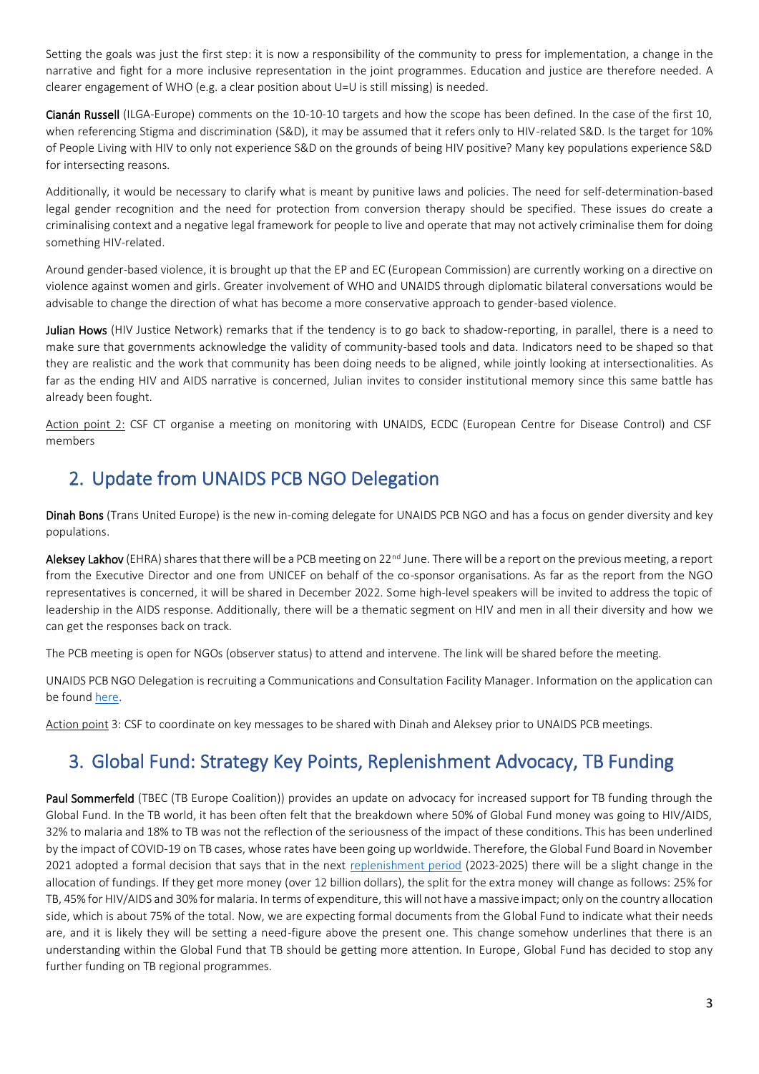Setting the goals was just the first step: it is now a responsibility of the community to press for implementation, a change in the narrative and fight for a more inclusive representation in the joint programmes. Education and justice are therefore needed. A clearer engagement of WHO (e.g. a clear position about U=U is still missing) is needed.

Cianán Russell (ILGA-Europe) comments on the 10-10-10 targets and how the scope has been defined. In the case of the first 10, when referencing Stigma and discrimination (S&D), it may be assumed that it refers only to HIV-related S&D. Is the target for 10% of People Living with HIV to only not experience S&D on the grounds of being HIV positive? Many key populations experience S&D for intersecting reasons.

Additionally, it would be necessary to clarify what is meant by punitive laws and policies. The need for self-determination-based legal gender recognition and the need for protection from conversion therapy should be specified. These issues do create a criminalising context and a negative legal framework for people to live and operate that may not actively criminalise them for doing something HIV-related.

Around gender-based violence, it is brought up that the EP and EC (European Commission) are currently working on a directive on violence against women and girls. Greater involvement of WHO and UNAIDS through diplomatic bilateral conversations would be advisable to change the direction of what has become a more conservative approach to gender-based violence.

Julian Hows (HIV Justice Network) remarks that if the tendency is to go back to shadow-reporting, in parallel, there is a need to make sure that governments acknowledge the validity of community-based tools and data. Indicators need to be shaped so that they are realistic and the work that community has been doing needs to be aligned, while jointly looking at intersectionalities. As far as the ending HIV and AIDS narrative is concerned, Julian invites to consider institutional memory since this same battle has already been fought.

Action point 2: CSF CT organise a meeting on monitoring with UNAIDS, ECDC (European Centre for Disease Control) and CSF members

## <span id="page-2-0"></span>2. Update from UNAIDS PCB NGO Delegation

Dinah Bons (Trans United Europe) is the new in-coming delegate for UNAIDS PCB NGO and has a focus on gender diversity and key populations.

Aleksey Lakhov (EHRA) shares that there will be a PCB meeting on 22<sup>nd</sup> June. There will be a report on the previous meeting, a report from the Executive Director and one from UNICEF on behalf of the co-sponsor organisations. As far as the report from the NGO representatives is concerned, it will be shared in December 2022. Some high-level speakers will be invited to address the topic of leadership in the AIDS response. Additionally, there will be a thematic segment on HIV and men in all their diversity and how we can get the responses back on track.

The PCB meeting is open for NGOs (observer status) to attend and intervene. The link will be shared before the meeting.

UNAIDS PCB NGO Delegation is recruiting a Communications and Consultation Facility Manager. Information on the application can be foun[d here.](https://gnpplus.net/latest/news/gnp-announced-as-the-new-host-of-the-communications-and-consultation-facility-ngo-delegation-to-the-unaids-programme-coordinating-board-pcb/)

Action point 3: CSF to coordinate on key messages to be shared with Dinah and Aleksey prior to UNAIDS PCB meetings.

# <span id="page-2-1"></span>3. Global Fund: Strategy Key Points, Replenishment Advocacy, TB Funding

Paul Sommerfeld (TBEC (TB Europe Coalition)) provides an update on advocacy for increased support for TB funding through the Global Fund. In the TB world, it has been often felt that the breakdown where 50% of Global Fund money was going to HIV/AIDS, 32% to malaria and 18% to TB was not the reflection of the seriousness of the impact of these conditions. This has been underlined by the impact of COVID-19 on TB cases, whose rates have been going up worldwide. Therefore, the Global Fund Board in November 2021 adopted a formal decision that says that in the next [replenishment period](https://www.globalfundadvocatesnetwork.org/7-asks-for-the-7th/) (2023-2025) there will be a slight change in the allocation of fundings. If they get more money (over 12 billion dollars), the split for the extra money will change as follows: 25% for TB, 45% for HIV/AIDS and 30% for malaria. In terms of expenditure, this will not have a massive impact; only on the country allocation side, which is about 75% of the total. Now, we are expecting formal documents from the Global Fund to indicate what their needs are, and it is likely they will be setting a need-figure above the present one. This change somehow underlines that there is an understanding within the Global Fund that TB should be getting more attention. In Europe, Global Fund has decided to stop any further funding on TB regional programmes.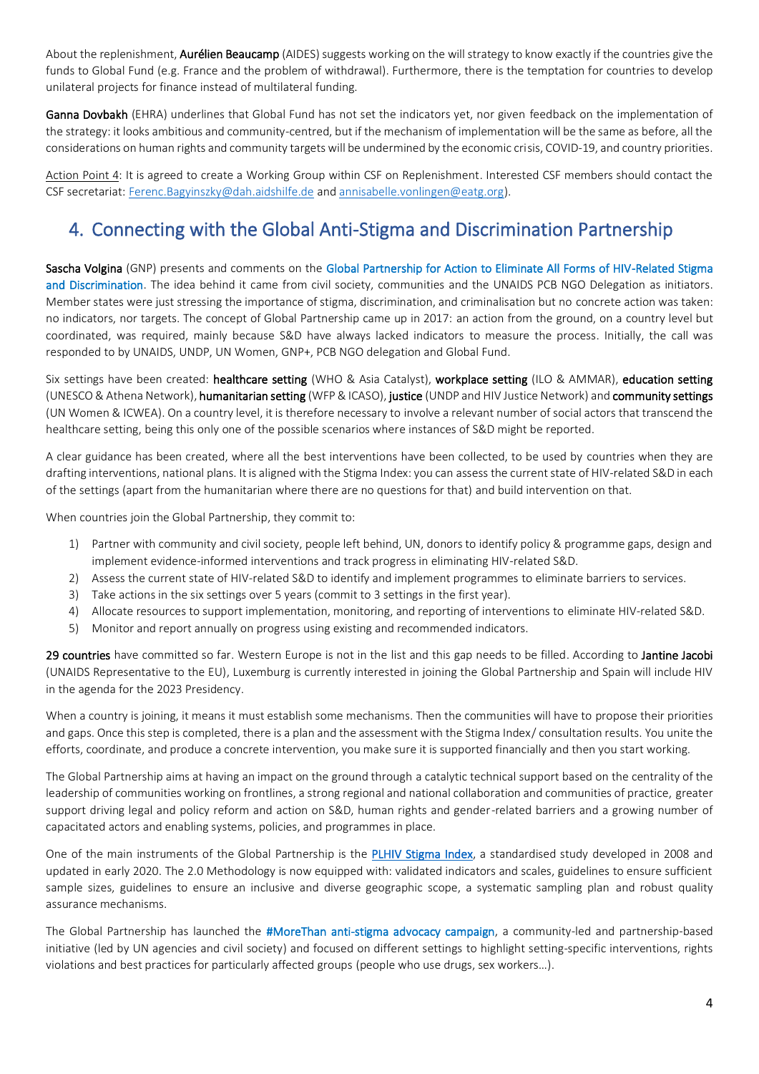About the replenishment, **Aurélien Beaucamp** (AIDES) suggests working on the will strategy to know exactly if the countries give the funds to Global Fund (e.g. France and the problem of withdrawal). Furthermore, there is the temptation for countries to develop unilateral projects for finance instead of multilateral funding.

Ganna Dovbakh (EHRA) underlines that Global Fund has not set the indicators yet, nor given feedback on the implementation of the strategy: it looks ambitious and community-centred, but if the mechanism of implementation will be the same as before, all the considerations on human rights and community targets will be undermined by the economic crisis, COVID-19, and country priorities.

Action Point 4: It is agreed to create a Working Group within CSF on Replenishment. Interested CSF members should contact the CSF secretariat[: Ferenc.Bagyinszky@dah.aidshilfe.de](mailto:Ferenc.Bagyinszky@dah.aidshilfe.de) an[d annisabelle.vonlingen@eatg.org\)](mailto:annisabelle.vonlingen@eatg.org).

# <span id="page-3-0"></span>4. Connecting with the Global Anti-Stigma and Discrimination Partnership

Sascha Volgina (GNP) presents and comments on the Global Partnership for Action to Eliminate All Forms of HIV-Related Stigma and Discrimination. The idea behind it came from civil society, communities and the UNAIDS PCB NGO Delegation as initiators. Member states were just stressing the importance of stigma, discrimination, and criminalisation but no concrete action was taken: no indicators, nor targets. The concept of Global Partnership came up in 2017: an action from the ground, on a country level but coordinated, was required, mainly because S&D have always lacked indicators to measure the process. Initially, the call was responded to by UNAIDS, UNDP, UN Women, GNP+, PCB NGO delegation and Global Fund.

Six settings have been created: healthcare setting (WHO & Asia Catalyst), workplace setting (ILO & AMMAR), education setting (UNESCO & Athena Network), humanitarian setting (WFP & ICASO), justice (UNDP and HIV Justice Network) and community settings (UN Women & ICWEA). On a country level, it is therefore necessary to involve a relevant number of social actors that transcend the healthcare setting, being this only one of the possible scenarios where instances of S&D might be reported.

A clear guidance has been created, where all the best interventions have been collected, to be used by countries when they are drafting interventions, national plans. It is aligned with the Stigma Index: you can assess the current state of HIV-related S&D in each of the settings (apart from the humanitarian where there are no questions for that) and build intervention on that.

When countries join the Global Partnership, they commit to:

- 1) Partner with community and civil society, people left behind, UN, donors to identify policy & programme gaps, design and implement evidence-informed interventions and track progress in eliminating HIV-related S&D.
- 2) Assess the current state of HIV-related S&D to identify and implement programmes to eliminate barriers to services.
- 3) Take actions in the six settings over 5 years (commit to 3 settings in the first year).
- 4) Allocate resources to support implementation, monitoring, and reporting of interventions to eliminate HIV-related S&D.
- 5) Monitor and report annually on progress using existing and recommended indicators.

29 countries have committed so far. Western Europe is not in the list and this gap needs to be filled. According to Jantine Jacobi (UNAIDS Representative to the EU), Luxemburg is currently interested in joining the Global Partnership and Spain will include HIV in the agenda for the 2023 Presidency.

When a country is joining, it means it must establish some mechanisms. Then the communities will have to propose their priorities and gaps. Once this step is completed, there is a plan and the assessment with the Stigma Index/ consultation results. You unite the efforts, coordinate, and produce a concrete intervention, you make sure it is supported financially and then you start working.

The Global Partnership aims at having an impact on the ground through a catalytic technical support based on the centrality of the leadership of communities working on frontlines, a strong regional and national collaboration and communities of practice, greater support driving legal and policy reform and action on S&D, human rights and gender-related barriers and a growing number of capacitated actors and enabling systems, policies, and programmes in place.

One of the main instruments of the Global Partnership is the **PLHIV Stigma Index**, a standardised study developed in 2008 and updated in early 2020. The 2.0 Methodology is now equipped with: validated indicators and scales, guidelines to ensure sufficient sample sizes, guidelines to ensure an inclusive and diverse geographic scope, a systematic sampling plan and robust quality assurance mechanisms.

The Global Partnership has launched the #MoreThan anti-stigma advocacy campaign, a community-led and partnership-based initiative (led by UN agencies and civil society) and focused on different settings to highlight setting-specific interventions, rights violations and best practices for particularly affected groups (people who use drugs, sex workers…).